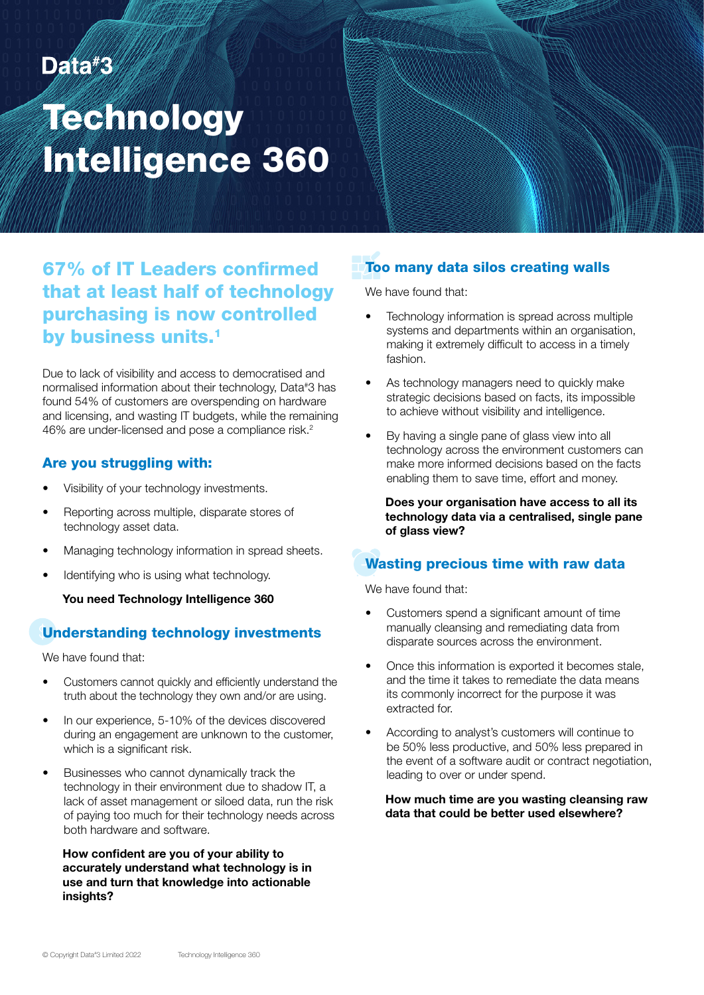## Data#3

## Technology Intelligence 360

67% of IT Leaders confirmed that at least half of technology purchasing is now controlled by business units.<sup>1</sup>

Due to lack of visibility and access to democratised and normalised information about their technology, Data# 3 has found 54% of customers are overspending on hardware and licensing, and wasting IT budgets, while the remaining 46% are under-licensed and pose a compliance risk.2

#### Are you struggling with:

- Visibility of your technology investments.
- Reporting across multiple, disparate stores of technology asset data.
- Managing technology information in spread sheets.
- Identifying who is using what technology.

You need Technology Intelligence 360

#### Understanding technology investments

We have found that:

- Customers cannot quickly and efficiently understand the truth about the technology they own and/or are using.
- In our experience, 5-10% of the devices discovered during an engagement are unknown to the customer, which is a significant risk.
- Businesses who cannot dynamically track the technology in their environment due to shadow IT, a lack of asset management or siloed data, run the risk of paying too much for their technology needs across both hardware and software.

#### How confident are you of your ability to accurately understand what technology is in use and turn that knowledge into actionable insights?

#### Too many data silos creating walls

We have found that:

- Technology information is spread across multiple systems and departments within an organisation, making it extremely difficult to access in a timely fashion.
- As technology managers need to quickly make strategic decisions based on facts, its impossible to achieve without visibility and intelligence.
- By having a single pane of glass view into all technology across the environment customers can make more informed decisions based on the facts enabling them to save time, effort and money.

Does your organisation have access to all its technology data via a centralised, single pane of glass view?

#### Wasting precious time with raw data

We have found that:

- Customers spend a significant amount of time manually cleansing and remediating data from disparate sources across the environment.
- Once this information is exported it becomes stale, and the time it takes to remediate the data means its commonly incorrect for the purpose it was extracted for.
- According to analyst's customers will continue to be 50% less productive, and 50% less prepared in the event of a software audit or contract negotiation, leading to over or under spend.

How much time are you wasting cleansing raw data that could be better used elsewhere?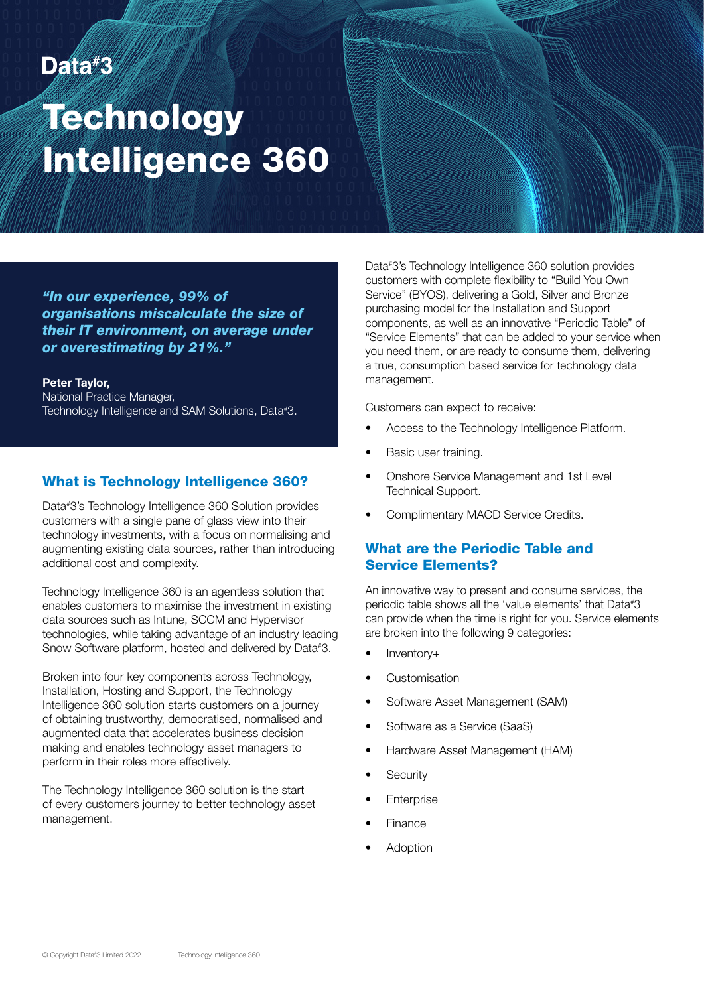## Data#3

## **Technology** Intelligence 360

*"In our experience, 99% of organisations miscalculate the size of their IT environment, on average under or overestimating by 21%."*

Peter Taylor,

National Practice Manager, Technology Intelligence and SAM Solutions, Data# 3.

#### What is Technology Intelligence 360?

Data# 3's Technology Intelligence 360 Solution provides customers with a single pane of glass view into their technology investments, with a focus on normalising and augmenting existing data sources, rather than introducing additional cost and complexity.

Technology Intelligence 360 is an agentless solution that enables customers to maximise the investment in existing data sources such as Intune, SCCM and Hypervisor technologies, while taking advantage of an industry leading Snow Software platform, hosted and delivered by Data# 3.

Broken into four key components across Technology, Installation, Hosting and Support, the Technology Intelligence 360 solution starts customers on a journey of obtaining trustworthy, democratised, normalised and augmented data that accelerates business decision making and enables technology asset managers to perform in their roles more effectively.

The Technology Intelligence 360 solution is the start of every customers journey to better technology asset management.

Data# 3's Technology Intelligence 360 solution provides customers with complete flexibility to "Build You Own Service" (BYOS), delivering a Gold, Silver and Bronze purchasing model for the Installation and Support components, as well as an innovative "Periodic Table" of "Service Elements" that can be added to your service when you need them, or are ready to consume them, delivering a true, consumption based service for technology data management.

Customers can expect to receive:

- Access to the Technology Intelligence Platform.
- Basic user training.
- Onshore Service Management and 1st Level Technical Support.
- Complimentary MACD Service Credits.

#### What are the Periodic Table and Service Elements?

An innovative way to present and consume services, the periodic table shows all the 'value elements' that Data# 3 can provide when the time is right for you. Service elements are broken into the following 9 categories:

- Inventory+
- **Customisation**
- Software Asset Management (SAM)
- Software as a Service (SaaS)
- Hardware Asset Management (HAM)
- **Security**
- **Enterprise**
- Finance
- **Adoption**